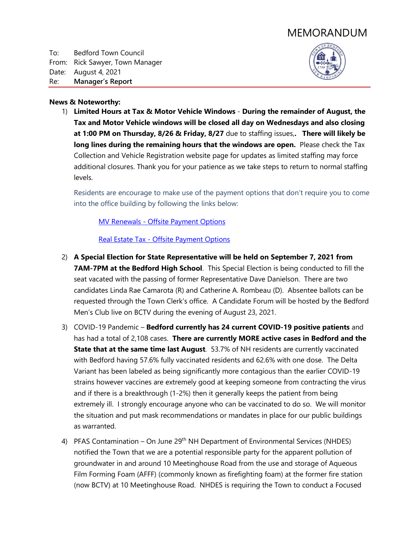# MEMORANDUM

To: Bedford Town Council From: Rick Sawyer, Town Manager Date: August 4, 2021 Re: **Manager's Report**



### **News & Noteworthy:**

1) **Limited Hours at Tax & Motor Vehicle Windows** - **During the remainder of August, the Tax and Motor Vehicle windows will be closed all day on Wednesdays and also closing at 1:00 PM on Thursday, 8/26 & Friday, 8/27** due to staffing issues,**. There will likely be long lines during the remaining hours that the windows are open.** Please check the Tax Collection and Vehicle Registration website page for updates as limited staffing may force additional closures. Thank you for your patience as we take steps to return to normal staffing levels.

Residents are encourage to make use of the payment options that don't require you to come into the office building by following the links below:

**MV Renewals - [Offsite Payment Options](https://www.bedfordnh.org/DocumentCenter/View/4470/MV-Renewals---Offsite-Payment-Options)** 

Real Estate Tax - [Offsite Payment Options](https://www.bedfordnh.org/DocumentCenter/View/4518/Real-Estate-Tax---Offsite-Payment-Options)

- 2) **A Special Election for State Representative will be held on September 7, 2021 from 7AM-7PM at the Bedford High School**. This Special Election is being conducted to fill the seat vacated with the passing of former Representative Dave Danielson. There are two candidates Linda Rae Camarota (R) and Catherine A. Rombeau (D). Absentee ballots can be requested through the Town Clerk's office. A Candidate Forum will be hosted by the Bedford Men's Club live on BCTV during the evening of August 23, 2021.
- 3) COVID-19 Pandemic **Bedford currently has 24 current COVID-19 positive patients** and has had a total of 2,108 cases. **There are currently MORE active cases in Bedford and the State that at the same time last August**. 53.7% of NH residents are currently vaccinated with Bedford having 57.6% fully vaccinated residents and 62.6% with one dose. The Delta Variant has been labeled as being significantly more contagious than the earlier COVID-19 strains however vaccines are extremely good at keeping someone from contracting the virus and if there is a breakthrough (1-2%) then it generally keeps the patient from being extremely ill. I strongly encourage anyone who can be vaccinated to do so. We will monitor the situation and put mask recommendations or mandates in place for our public buildings as warranted.
- 4) PFAS Contamination On June 29<sup>th</sup> NH Department of Environmental Services (NHDES) notified the Town that we are a potential responsible party for the apparent pollution of groundwater in and around 10 Meetinghouse Road from the use and storage of Aqueous Film Forming Foam (AFFF) (commonly known as firefighting foam) at the former fire station (now BCTV) at 10 Meetinghouse Road. NHDES is requiring the Town to conduct a Focused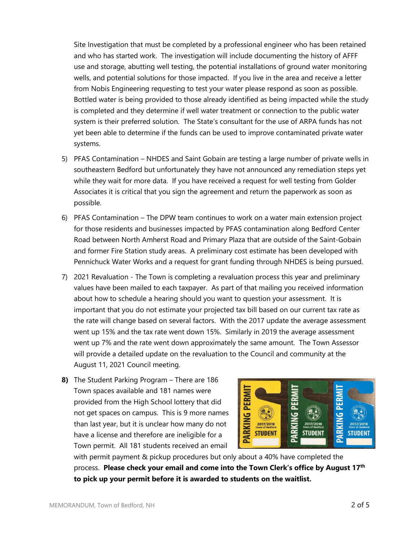Site Investigation that must be completed by a professional engineer who has been retained and who has started work. The investigation will include documenting the history of AFFF use and storage, abutting well testing, the potential installations of ground water monitoring wells, and potential solutions for those impacted. If you live in the area and receive a letter from Nobis Engineering requesting to test your water please respond as soon as possible. Bottled water is being provided to those already identified as being impacted while the study is completed and they determine if well water treatment or connection to the public water system is their preferred solution. The State's consultant for the use of ARPA funds has not yet been able to determine if the funds can be used to improve contaminated private water systems.

- 5) PFAS Contamination NHDES and Saint Gobain are testing a large number of private wells in southeastern Bedford but unfortunately they have not announced any remediation steps yet while they wait for more data. If you have received a request for well testing from Golder Associates it is critical that you sign the agreement and return the paperwork as soon as possible.
- 6) PFAS Contamination The DPW team continues to work on a water main extension project for those residents and businesses impacted by PFAS contamination along Bedford Center Road between North Amherst Road and Primary Plaza that are outside of the Saint-Gobain and former Fire Station study areas. A preliminary cost estimate has been developed with Pennichuck Water Works and a request for grant funding through NHDES is being pursued.
- 7) 2021 Revaluation The Town is completing a revaluation process this year and preliminary values have been mailed to each taxpayer. As part of that mailing you received information about how to schedule a hearing should you want to question your assessment. It is important that you do not estimate your projected tax bill based on our current tax rate as the rate will change based on several factors. With the 2017 update the average assessment went up 15% and the tax rate went down 15%. Similarly in 2019 the average assessment went up 7% and the rate went down approximately the same amount. The Town Assessor will provide a detailed update on the revaluation to the Council and community at the August 11, 2021 Council meeting.
- **8)** The Student Parking Program There are 186 Town spaces available and 181 names were provided from the High School lottery that did not get spaces on campus. This is 9 more names than last year, but it is unclear how many do not have a license and therefore are ineligible for a Town permit. All 181 students received an email



with permit payment & pickup procedures but only about a 40% have completed the process. **Please check your email and come into the Town Clerk's office by August 17th to pick up your permit before it is awarded to students on the waitlist.**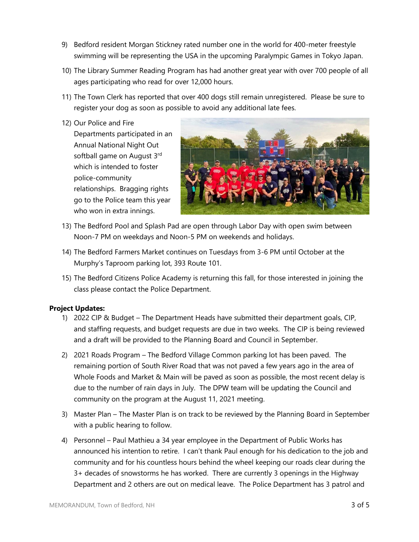- 9) Bedford resident Morgan Stickney rated number one in the world for 400-meter freestyle swimming will be representing the USA in the upcoming Paralympic Games in Tokyo Japan.
- 10) The Library Summer Reading Program has had another great year with over 700 people of all ages participating who read for over 12,000 hours.
- 11) The Town Clerk has reported that over 400 dogs still remain unregistered. Please be sure to register your dog as soon as possible to avoid any additional late fees.
- 12) Our Police and Fire

Departments participated in an Annual National Night Out softball game on August 3<sup>rd</sup> which is intended to foster police-community relationships. Bragging rights go to the Police team this year who won in extra innings.



- 13) The Bedford Pool and Splash Pad are open through Labor Day with open swim between Noon-7 PM on weekdays and Noon-5 PM on weekends and holidays.
- 14) The Bedford Farmers Market continues on Tuesdays from 3-6 PM until October at the Murphy's Taproom parking lot, 393 Route 101.
- 15) The Bedford Citizens Police Academy is returning this fall, for those interested in joining the class please contact the Police Department.

# **Project Updates:**

- 1) 2022 CIP & Budget The Department Heads have submitted their department goals, CIP, and staffing requests, and budget requests are due in two weeks. The CIP is being reviewed and a draft will be provided to the Planning Board and Council in September.
- 2) 2021 Roads Program The Bedford Village Common parking lot has been paved. The remaining portion of South River Road that was not paved a few years ago in the area of Whole Foods and Market & Main will be paved as soon as possible, the most recent delay is due to the number of rain days in July. The DPW team will be updating the Council and community on the program at the August 11, 2021 meeting.
- 3) Master Plan The Master Plan is on track to be reviewed by the Planning Board in September with a public hearing to follow.
- 4) Personnel Paul Mathieu a 34 year employee in the Department of Public Works has announced his intention to retire. I can't thank Paul enough for his dedication to the job and community and for his countless hours behind the wheel keeping our roads clear during the 3+ decades of snowstorms he has worked. There are currently 3 openings in the Highway Department and 2 others are out on medical leave. The Police Department has 3 patrol and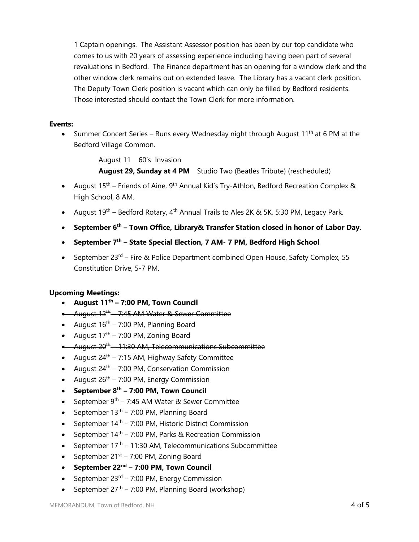1 Captain openings. The Assistant Assessor position has been by our top candidate who comes to us with 20 years of assessing experience including having been part of several revaluations in Bedford. The Finance department has an opening for a window clerk and the other window clerk remains out on extended leave. The Library has a vacant clerk position. The Deputy Town Clerk position is vacant which can only be filled by Bedford residents. Those interested should contact the Town Clerk for more information.

### **Events:**

• Summer Concert Series – Runs every Wednesday night through August 11<sup>th</sup> at 6 PM at the Bedford Village Common.

August 11 60's Invasion

**August 29, Sunday at 4 PM** Studio Two (Beatles Tribute) (rescheduled)

- August  $15<sup>th</sup>$  Friends of Aine, 9<sup>th</sup> Annual Kid's Try-Athlon, Bedford Recreation Complex & High School, 8 AM.
- August  $19^{th}$  Bedford Rotary, 4<sup>th</sup> Annual Trails to Ales 2K & 5K, 5:30 PM, Legacy Park.
- **September 6 th – Town Office, Library& Transfer Station closed in honor of Labor Day.**
- **September 7 th – State Special Election, 7 AM- 7 PM, Bedford High School**
- September 23<sup>rd</sup> Fire & Police Department combined Open House, Safety Complex, 55 Constitution Drive, 5-7 PM.

# **Upcoming Meetings:**

- **August 11 th – 7:00 PM, Town Council**
- August 12<sup>th</sup>—7:45 AM Water & Sewer Committee
- August  $16^{th}$  7:00 PM, Planning Board
- August  $17<sup>th</sup> 7:00$  PM, Zoning Board
- $\bullet$  August 20<sup>th</sup> 11:30 AM, Telecommunications Subcommittee
- August  $24^{th}$  7:15 AM, Highway Safety Committee
- August  $24^{th}$  7:00 PM, Conservation Commission
- August  $26<sup>th</sup> 7:00$  PM, Energy Commission
- **September 8 th – 7:00 PM, Town Council**
- September  $9^{th}$  7:45 AM Water & Sewer Committee
- September  $13<sup>th</sup> 7:00$  PM, Planning Board
- September  $14<sup>th</sup> 7:00$  PM, Historic District Commission
- September  $14<sup>th</sup> 7:00$  PM, Parks & Recreation Commission
- September  $17<sup>th</sup> 11:30$  AM, Telecommunications Subcommittee
- September  $21^{st}$  7:00 PM, Zoning Board
- **September 22 nd – 7:00 PM, Town Council**
- September  $23^{rd}$  7:00 PM, Energy Commission
- September  $27<sup>th</sup> 7:00$  PM, Planning Board (workshop)